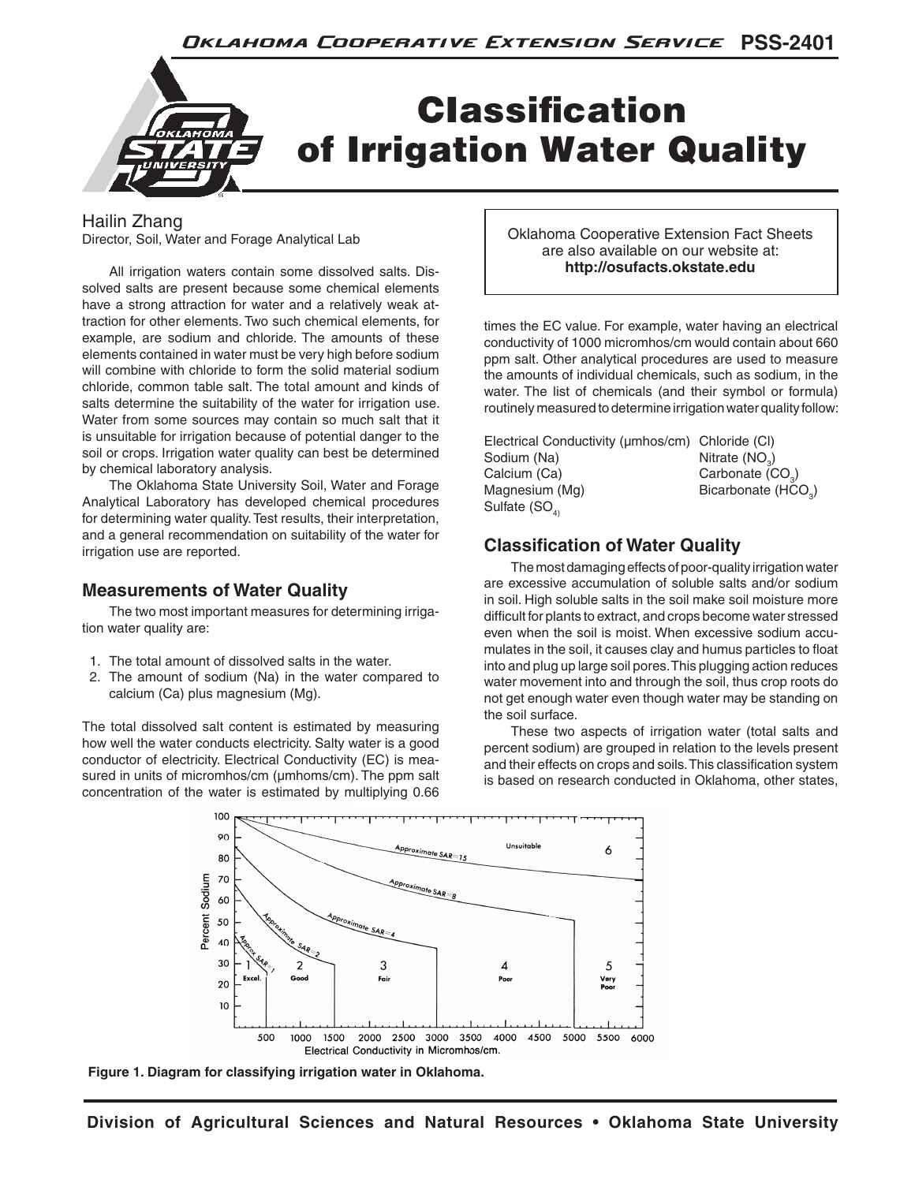

## Hailin Zhang

Director, Soil, Water and Forage Analytical Lab

All irrigation waters contain some dissolved salts. Dissolved salts are present because some chemical elements have a strong attraction for water and a relatively weak attraction for other elements. Two such chemical elements, for example, are sodium and chloride. The amounts of these elements contained in water must be very high before sodium will combine with chloride to form the solid material sodium chloride, common table salt. The total amount and kinds of salts determine the suitability of the water for irrigation use. Water from some sources may contain so much salt that it is unsuitable for irrigation because of potential danger to the soil or crops. Irrigation water quality can best be determined by chemical laboratory analysis.

The Oklahoma State University Soil, Water and Forage Analytical Laboratory has developed chemical procedures for determining water quality. Test results, their interpretation, and a general recommendation on suitability of the water for irrigation use are reported.

## **Measurements of Water Quality**

The two most important measures for determining irrigation water quality are:

- 1. The total amount of dissolved salts in the water.
- 2. The amount of sodium (Na) in the water compared to calcium (Ca) plus magnesium (Mg).

The total dissolved salt content is estimated by measuring how well the water conducts electricity. Salty water is a good conductor of electricity. Electrical Conductivity (EC) is measured in units of micromhos/cm ( $\mu$ mhoms/cm). The ppm salt concentration of the water is estimated by multiplying 0.66

Oklahoma Cooperative Extension Fact Sheets are also available on our website at: **http://osufacts.okstate.edu**

times the EC value. For example, water having an electrical conductivity of 1000 micromhos/cm would contain about 660 ppm salt. Other analytical procedures are used to measure the amounts of individual chemicals, such as sodium, in the water. The list of chemicals (and their symbol or formula) routinely measured to determine irrigation water quality follow:

| Electrical Conductivity (umhos/cm) Chloride (CI) |                                 |
|--------------------------------------------------|---------------------------------|
| Sodium (Na)                                      | Nitrate $(NO2)$                 |
| Calcium (Ca)                                     | Carbonate (CO <sub>3</sub> )    |
| Magnesium (Mg)                                   | Bicarbonate (HCO <sub>2</sub> ) |
| Sulfate $(SOA)$                                  |                                 |

# **Classification of Water Quality**

The most damaging effects of poor-quality irrigation water are excessive accumulation of soluble salts and/or sodium in soil. High soluble salts in the soil make soil moisture more difficult for plants to extract, and crops become water stressed even when the soil is moist. When excessive sodium accumulates in the soil, it causes clay and humus particles to float into and plug up large soil pores. This plugging action reduces water movement into and through the soil, thus crop roots do not get enough water even though water may be standing on the soil surface.

These two aspects of irrigation water (total salts and percent sodium) are grouped in relation to the levels present and their effects on crops and soils. This classification system is based on research conducted in Oklahoma, other states,



**Figure 1. Diagram for classifying irrigation water in Oklahoma.**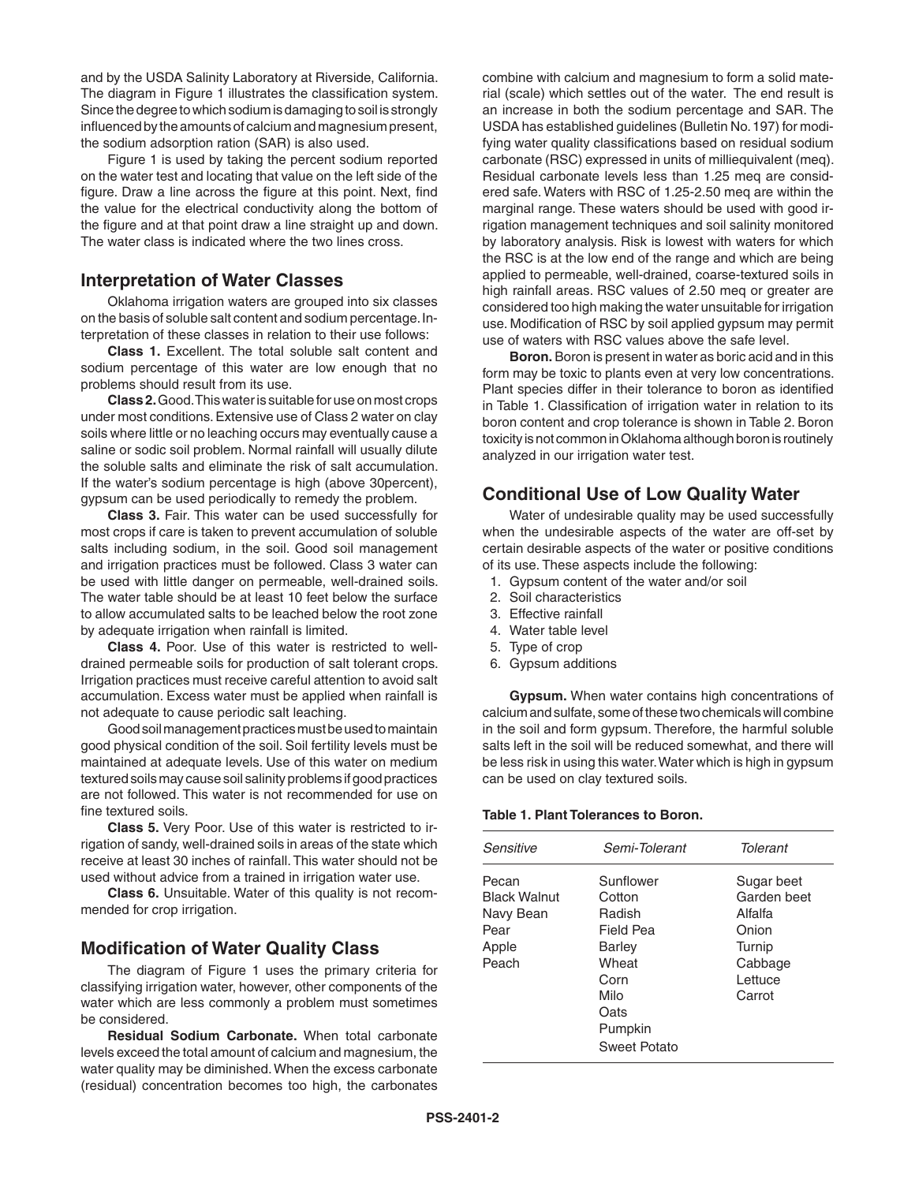and by the USDA Salinity Laboratory at Riverside, California. The diagram in Figure 1 illustrates the classification system. Since the degree to which sodium is damaging to soil is strongly influenced by the amounts of calcium and magnesium present, the sodium adsorption ration (SAR) is also used.

Figure 1 is used by taking the percent sodium reported on the water test and locating that value on the left side of the figure. Draw a line across the figure at this point. Next, find the value for the electrical conductivity along the bottom of the figure and at that point draw a line straight up and down. The water class is indicated where the two lines cross.

#### **Interpretation of Water Classes**

Oklahoma irrigation waters are grouped into six classes on the basis of soluble salt content and sodium percentage. Interpretation of these classes in relation to their use follows:

**Class 1.** Excellent. The total soluble salt content and sodium percentage of this water are low enough that no problems should result from its use.

**Class 2.** Good. This water is suitable for use on most crops under most conditions. Extensive use of Class 2 water on clay soils where little or no leaching occurs may eventually cause a saline or sodic soil problem. Normal rainfall will usually dilute the soluble salts and eliminate the risk of salt accumulation. If the water's sodium percentage is high (above 30percent), gypsum can be used periodically to remedy the problem.

**Class 3.** Fair. This water can be used successfully for most crops if care is taken to prevent accumulation of soluble salts including sodium, in the soil. Good soil management and irrigation practices must be followed. Class 3 water can be used with little danger on permeable, well-drained soils. The water table should be at least 10 feet below the surface to allow accumulated salts to be leached below the root zone by adequate irrigation when rainfall is limited.

**Class 4.** Poor. Use of this water is restricted to welldrained permeable soils for production of salt tolerant crops. Irrigation practices must receive careful attention to avoid salt accumulation. Excess water must be applied when rainfall is not adequate to cause periodic salt leaching.

Good soil management practices must be used to maintain good physical condition of the soil. Soil fertility levels must be maintained at adequate levels. Use of this water on medium textured soils may cause soil salinity problems if good practices are not followed. This water is not recommended for use on fine textured soils.

**Class 5.** Very Poor. Use of this water is restricted to irrigation of sandy, well-drained soils in areas of the state which receive at least 30 inches of rainfall. This water should not be used without advice from a trained in irrigation water use.

**Class 6.** Unsuitable. Water of this quality is not recommended for crop irrigation.

#### **Modification of Water Quality Class**

The diagram of Figure 1 uses the primary criteria for classifying irrigation water, however, other components of the water which are less commonly a problem must sometimes be considered.

**Residual Sodium Carbonate.** When total carbonate levels exceed the total amount of calcium and magnesium, the water quality may be diminished. When the excess carbonate (residual) concentration becomes too high, the carbonates combine with calcium and magnesium to form a solid material (scale) which settles out of the water. The end result is an increase in both the sodium percentage and SAR. The USDA has established guidelines (Bulletin No. 197) for modifying water quality classifications based on residual sodium carbonate (RSC) expressed in units of milliequivalent (meq). Residual carbonate levels less than 1.25 meq are considered safe. Waters with RSC of 1.25-2.50 meq are within the marginal range. These waters should be used with good irrigation management techniques and soil salinity monitored by laboratory analysis. Risk is lowest with waters for which the RSC is at the low end of the range and which are being applied to permeable, well-drained, coarse-textured soils in high rainfall areas. RSC values of 2.50 meq or greater are considered too high making the water unsuitable for irrigation use. Modification of RSC by soil applied gypsum may permit use of waters with RSC values above the safe level.

**Boron.** Boron is present in water as boric acid and in this form may be toxic to plants even at very low concentrations. Plant species differ in their tolerance to boron as identified in Table 1. Classification of irrigation water in relation to its boron content and crop tolerance is shown in Table 2. Boron toxicity is not common in Oklahoma although boron is routinely analyzed in our irrigation water test.

#### **Conditional Use of Low Quality Water**

Water of undesirable quality may be used successfully when the undesirable aspects of the water are off-set by certain desirable aspects of the water or positive conditions of its use. These aspects include the following:

- 1. Gypsum content of the water and/or soil
- 2. Soil characteristics
- 3. Effective rainfall
- 4. Water table level
- 5. Type of crop
- 6. Gypsum additions

**Gypsum.** When water contains high concentrations of calcium and sulfate, some of these two chemicals will combine in the soil and form gypsum. Therefore, the harmful soluble salts left in the soil will be reduced somewhat, and there will be less risk in using this water. Water which is high in gypsum can be used on clay textured soils.

#### **Table 1. Plant Tolerances to Boron.**

| Sensitive                                                           | Semi-Tolerant                                                                                                           | Tolerant                                                                                |
|---------------------------------------------------------------------|-------------------------------------------------------------------------------------------------------------------------|-----------------------------------------------------------------------------------------|
| Pecan<br><b>Black Walnut</b><br>Navy Bean<br>Pear<br>Apple<br>Peach | Sunflower<br>Cotton<br>Radish<br>Field Pea<br>Barley<br>Wheat<br>Corn<br>Milo<br>Oats<br>Pumpkin<br><b>Sweet Potato</b> | Sugar beet<br>Garden beet<br>Alfalfa<br>Onion<br>Turnip<br>Cabbage<br>Lettuce<br>Carrot |
|                                                                     |                                                                                                                         |                                                                                         |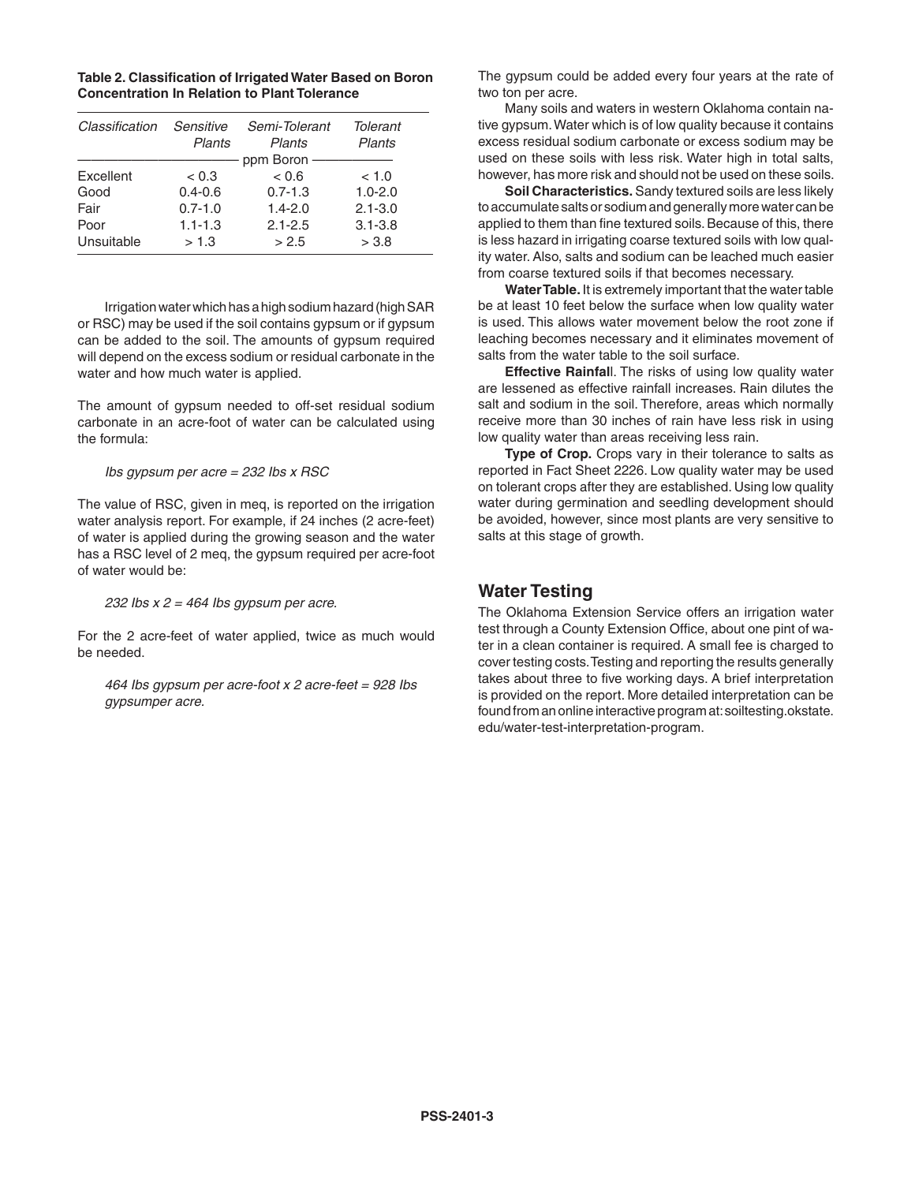| Table 2. Classification of Irrigated Water Based on Boron |
|-----------------------------------------------------------|
| <b>Concentration In Relation to Plant Tolerance</b>       |

| Classification | Sensitive<br>Plants | Semi-Tolerant<br>Plants | Tolerant<br>Plants |
|----------------|---------------------|-------------------------|--------------------|
|                |                     | ppm Boron -             |                    |
| Excellent      | < 0.3               | < 0.6                   | < 1.0              |
| Good           | $0.4 - 0.6$         | $0.7 - 1.3$             | $1.0 - 2.0$        |
| Fair           | $0.7 - 1.0$         | $1.4 - 2.0$             | $2.1 - 3.0$        |
| Poor           | $1.1 - 1.3$         | $2.1 - 2.5$             | $3.1 - 3.8$        |
| Unsuitable     | > 1.3               | > 2.5                   | > 3.8              |
|                |                     |                         |                    |

Irrigation water which has a high sodium hazard (high SAR or RSC) may be used if the soil contains gypsum or if gypsum can be added to the soil. The amounts of gypsum required will depend on the excess sodium or residual carbonate in the water and how much water is applied.

The amount of gypsum needed to off-set residual sodium carbonate in an acre-foot of water can be calculated using the formula:

*Ibs gypsum per acre = 232 Ibs x RSC*

The value of RSC, given in meq, is reported on the irrigation water analysis report. For example, if 24 inches (2 acre-feet) of water is applied during the growing season and the water has a RSC level of 2 meq, the gypsum required per acre-foot of water would be:

#### *232 Ibs x 2 = 464 Ibs gypsum per acre.*

For the 2 acre-feet of water applied, twice as much would be needed.

*464 Ibs gypsum per acre-foot x 2 acre-feet = 928 Ibs gypsumper acre.*

The gypsum could be added every four years at the rate of two ton per acre.

Many soils and waters in western Oklahoma contain native gypsum. Water which is of low quality because it contains excess residual sodium carbonate or excess sodium may be used on these soils with less risk. Water high in total salts, however, has more risk and should not be used on these soils.

**Soil Characteristics.** Sandy textured soils are less likely to accumulate salts or sodium and generally more water can be applied to them than fine textured soils. Because of this, there is less hazard in irrigating coarse textured soils with low quality water. Also, salts and sodium can be leached much easier from coarse textured soils if that becomes necessary.

**Water Table.** It is extremely important that the water table be at least 10 feet below the surface when low quality water is used. This allows water movement below the root zone if leaching becomes necessary and it eliminates movement of salts from the water table to the soil surface.

**Effective Rainfal**l. The risks of using low quality water are lessened as effective rainfall increases. Rain dilutes the salt and sodium in the soil. Therefore, areas which normally receive more than 30 inches of rain have less risk in using low quality water than areas receiving less rain.

**Type of Crop.** Crops vary in their tolerance to salts as reported in Fact Sheet 2226. Low quality water may be used on tolerant crops after they are established. Using low quality water during germination and seedling development should be avoided, however, since most plants are very sensitive to salts at this stage of growth.

## **Water Testing**

The Oklahoma Extension Service offers an irrigation water test through a County Extension Office, about one pint of water in a clean container is required. A small fee is charged to cover testing costs. Testing and reporting the results generally takes about three to five working days. A brief interpretation is provided on the report. More detailed interpretation can be found from an online interactive program at: soiltesting.okstate. edu/water-test-interpretation-program.